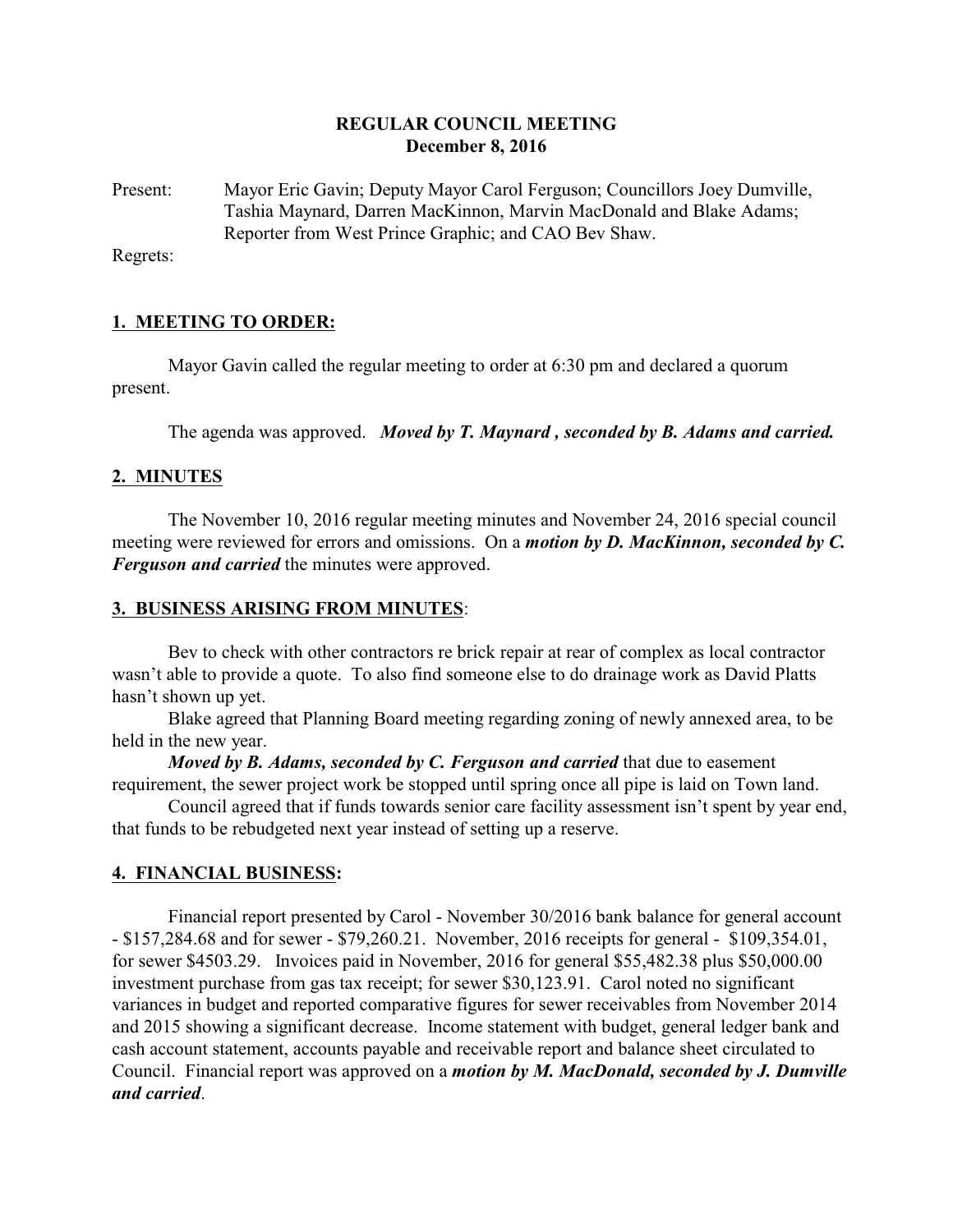## **REGULAR COUNCIL MEETING December 8, 2016**

Present: Mayor Eric Gavin; Deputy Mayor Carol Ferguson; Councillors Joey Dumville, Tashia Maynard, Darren MacKinnon, Marvin MacDonald and Blake Adams; Reporter from West Prince Graphic; and CAO Bev Shaw.

Regrets:

## **1. MEETING TO ORDER:**

Mayor Gavin called the regular meeting to order at 6:30 pm and declared a quorum present.

The agenda was approved. *Moved by T. Maynard , seconded by B. Adams and carried.*

## **2. MINUTES**

The November 10, 2016 regular meeting minutes and November 24, 2016 special council meeting were reviewed for errors and omissions. On a *motion by D. MacKinnon, seconded by C. Ferguson and carried* the minutes were approved.

## **3. BUSINESS ARISING FROM MINUTES**:

Bev to check with other contractors re brick repair at rear of complex as local contractor wasn't able to provide a quote. To also find someone else to do drainage work as David Platts hasn't shown up yet.

Blake agreed that Planning Board meeting regarding zoning of newly annexed area, to be held in the new year.

*Moved by B. Adams, seconded by C. Ferguson and carried* that due to easement requirement, the sewer project work be stopped until spring once all pipe is laid on Town land.

Council agreed that if funds towards senior care facility assessment isn't spent by year end, that funds to be rebudgeted next year instead of setting up a reserve.

## **4. FINANCIAL BUSINESS:**

Financial report presented by Carol - November 30/2016 bank balance for general account - \$157,284.68 and for sewer - \$79,260.21. November, 2016 receipts for general - \$109,354.01, for sewer \$4503.29. Invoices paid in November, 2016 for general \$55,482.38 plus \$50,000.00 investment purchase from gas tax receipt; for sewer \$30,123.91. Carol noted no significant variances in budget and reported comparative figures for sewer receivables from November 2014 and 2015 showing a significant decrease. Income statement with budget, general ledger bank and cash account statement, accounts payable and receivable report and balance sheet circulated to Council. Financial report was approved on a *motion by M. MacDonald, seconded by J. Dumville and carried*.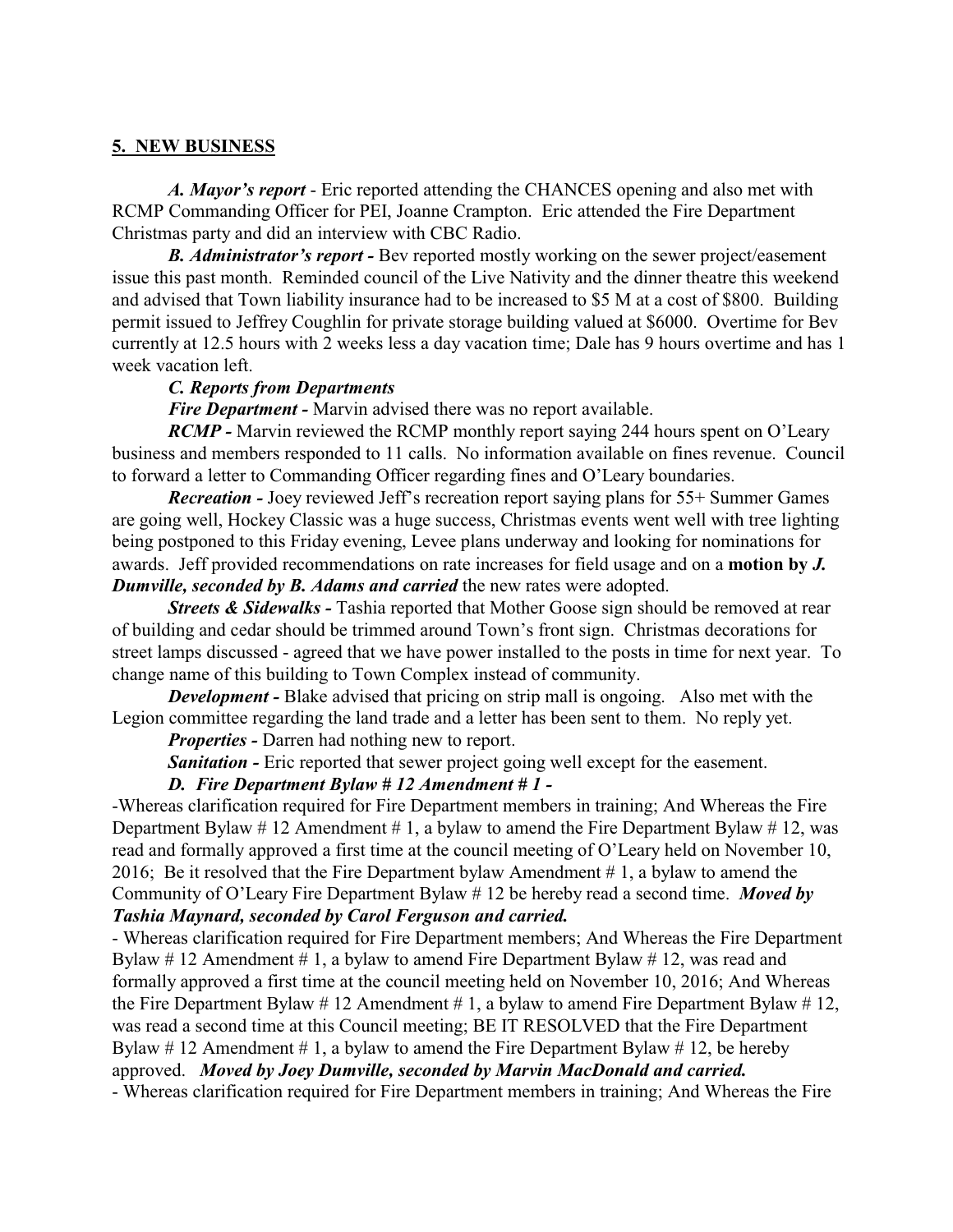## **5. NEW BUSINESS**

*A. Mayor's report* - Eric reported attending the CHANCES opening and also met with RCMP Commanding Officer for PEI, Joanne Crampton. Eric attended the Fire Department Christmas party and did an interview with CBC Radio.

*B. Administrator's report -* Bev reported mostly working on the sewer project/easement issue this past month. Reminded council of the Live Nativity and the dinner theatre this weekend and advised that Town liability insurance had to be increased to \$5 M at a cost of \$800. Building permit issued to Jeffrey Coughlin for private storage building valued at \$6000. Overtime for Bev currently at 12.5 hours with 2 weeks less a day vacation time; Dale has 9 hours overtime and has 1 week vacation left.

#### *C. Reports from Departments*

*Fire Department -* Marvin advised there was no report available.

*RCMP* - Marvin reviewed the RCMP monthly report saying 244 hours spent on O'Leary business and members responded to 11 calls. No information available on fines revenue. Council to forward a letter to Commanding Officer regarding fines and O'Leary boundaries.

*Recreation -* Joey reviewed Jeff's recreation report saying plans for 55+ Summer Games are going well, Hockey Classic was a huge success, Christmas events went well with tree lighting being postponed to this Friday evening, Levee plans underway and looking for nominations for awards. Jeff provided recommendations on rate increases for field usage and on a **motion by** *J. Dumville, seconded by B. Adams and carried* the new rates were adopted.

*Streets & Sidewalks* - Tashia reported that Mother Goose sign should be removed at rear of building and cedar should be trimmed around Town's front sign. Christmas decorations for street lamps discussed - agreed that we have power installed to the posts in time for next year. To change name of this building to Town Complex instead of community.

*Development* - Blake advised that pricing on strip mall is ongoing. Also met with the Legion committee regarding the land trade and a letter has been sent to them. No reply yet.

*Properties -* Darren had nothing new to report.

**Sanitation -** Eric reported that sewer project going well except for the easement.

## *D. Fire Department Bylaw # 12 Amendment # 1 -*

-Whereas clarification required for Fire Department members in training; And Whereas the Fire Department Bylaw  $\#$  12 Amendment  $\#$  1, a bylaw to amend the Fire Department Bylaw  $\#$  12, was read and formally approved a first time at the council meeting of O'Leary held on November 10, 2016; Be it resolved that the Fire Department bylaw Amendment  $# 1$ , a bylaw to amend the Community of O'Leary Fire Department Bylaw # 12 be hereby read a second time. *Moved by Tashia Maynard, seconded by Carol Ferguson and carried.*

- Whereas clarification required for Fire Department members; And Whereas the Fire Department Bylaw  $\#$  12 Amendment  $\#$  1, a bylaw to amend Fire Department Bylaw  $\#$  12, was read and formally approved a first time at the council meeting held on November 10, 2016; And Whereas the Fire Department Bylaw  $\# 12$  Amendment  $\# 1$ , a bylaw to amend Fire Department Bylaw  $\# 12$ , was read a second time at this Council meeting; BE IT RESOLVED that the Fire Department Bylaw # 12 Amendment # 1, a bylaw to amend the Fire Department Bylaw # 12, be hereby approved. *Moved by Joey Dumville, seconded by Marvin MacDonald and carried.*

- Whereas clarification required for Fire Department members in training; And Whereas the Fire